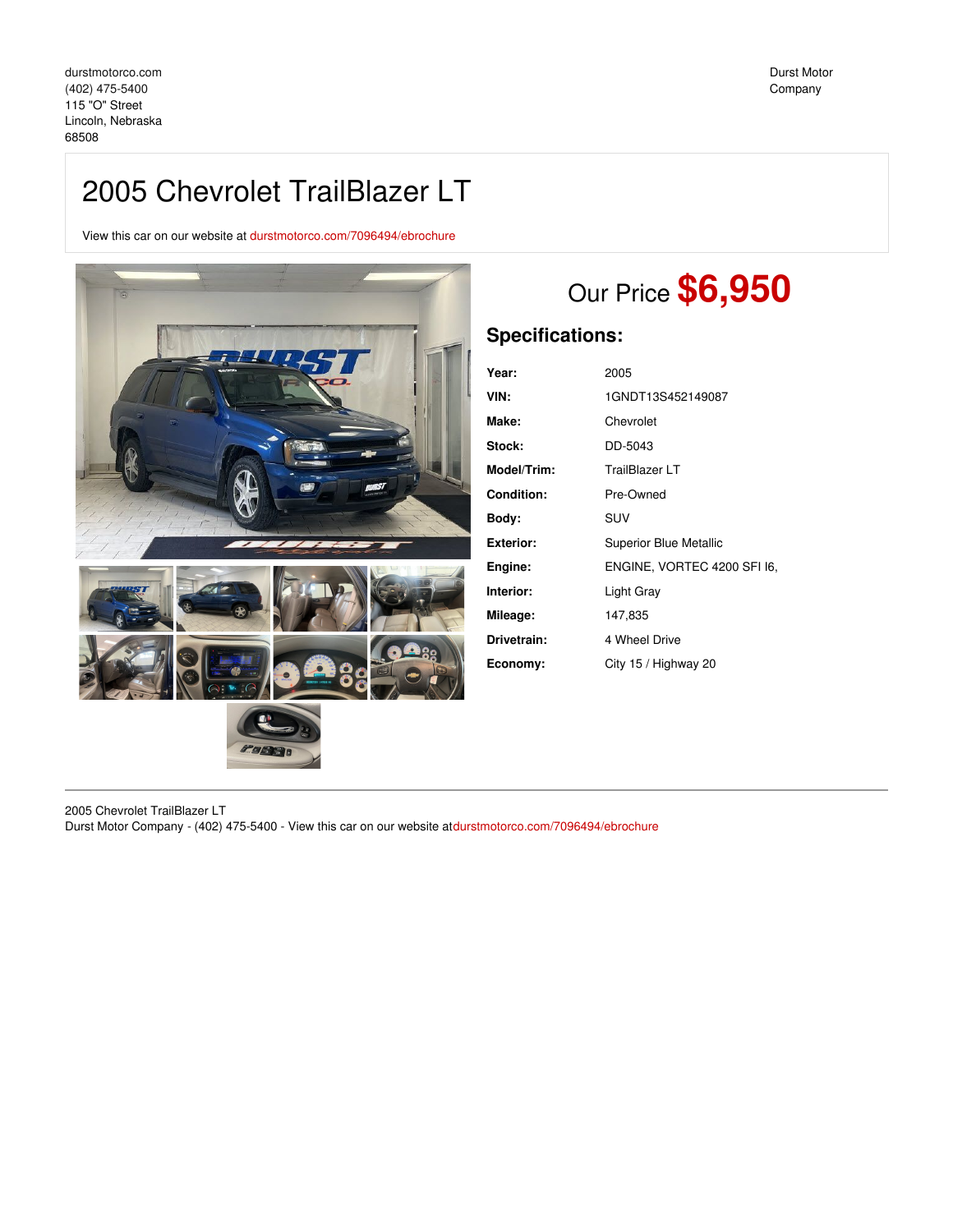## 2005 Chevrolet TrailBlazer LT

View this car on our website at [durstmotorco.com/7096494/ebrochure](https://durstmotorco.com/vehicle/7096494/2005-chevrolet-trailblazer-lt-lincoln-nebraska-68508/7096494/ebrochure)



# Our Price **\$6,950**

### **Specifications:**

| Year:       | 2005                          |
|-------------|-------------------------------|
| VIN:        | 1GNDT13S452149087             |
| Make:       | Chevrolet                     |
| Stock:      | DD-5043                       |
| Model/Trim: | TrailBlazer LT                |
| Condition:  | Pre-Owned                     |
| Body:       | <b>SUV</b>                    |
| Exterior:   | <b>Superior Blue Metallic</b> |
| Engine:     | ENGINE, VORTEC 4200 SFI 16,   |
| Interior:   | Light Gray                    |
| Mileage:    | 147,835                       |
| Drivetrain: | 4 Wheel Drive                 |
| Economy:    | City 15 / Highway 20          |
|             |                               |

2005 Chevrolet TrailBlazer LT Durst Motor Company - (402) 475-5400 - View this car on our website at[durstmotorco.com/7096494/ebrochure](https://durstmotorco.com/vehicle/7096494/2005-chevrolet-trailblazer-lt-lincoln-nebraska-68508/7096494/ebrochure)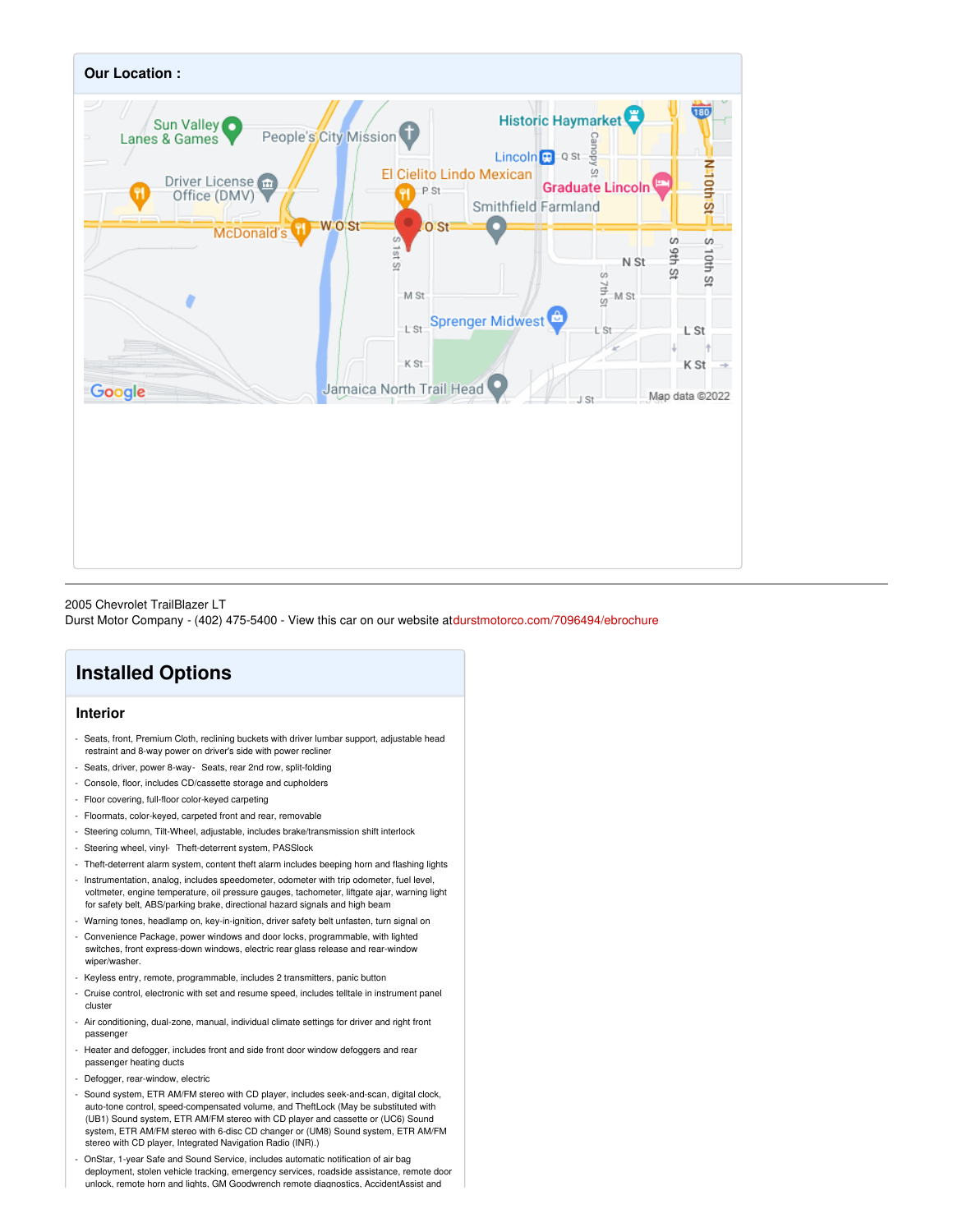

#### 2005 Chevrolet TrailBlazer LT

Durst Motor Company - (402) 475-5400 - View this car on our website at[durstmotorco.com/7096494/ebrochure](https://durstmotorco.com/vehicle/7096494/2005-chevrolet-trailblazer-lt-lincoln-nebraska-68508/7096494/ebrochure)

## **Installed Options**

#### **Interior**

- Seats, front, Premium Cloth, reclining buckets with driver lumbar support, adjustable head restraint and 8-way power on driver's side with power recliner
- Seats, driver, power 8-way- Seats, rear 2nd row, split-folding
- Console, floor, includes CD/cassette storage and cupholders
- Floor covering, full-floor color-keyed carpeting
- Floormats, color-keyed, carpeted front and rear, removable
- Steering column, Tilt-Wheel, adjustable, includes brake/transmission shift interlock
- Steering wheel, vinyl- Theft-deterrent system, PASSlock
- Theft-deterrent alarm system, content theft alarm includes beeping horn and flashing lights
- Instrumentation, analog, includes speedometer, odometer with trip odometer, fuel level, voltmeter, engine temperature, oil pressure gauges, tachometer, liftgate ajar, warning light for safety belt, ABS/parking brake, directional hazard signals and high beam
- Warning tones, headlamp on, key-in-ignition, driver safety belt unfasten, turn signal on
- Convenience Package, power windows and door locks, programmable, with lighted switches, front express-down windows, electric rear glass release and rear-window wiper/washer
- Keyless entry, remote, programmable, includes 2 transmitters, panic button
- Cruise control, electronic with set and resume speed, includes telltale in instrument panel cluster
- Air conditioning, dual-zone, manual, individual climate settings for driver and right front passenger
- Heater and defogger, includes front and side front door window defoggers and rear passenger heating ducts
- Defogger, rear-window, electric
- Sound system, ETR AM/FM stereo with CD player, includes seek-and-scan, digital clock, auto-tone control, speed-compensated volume, and TheftLock (May be substituted with (UB1) Sound system, ETR AM/FM stereo with CD player and cassette or (UC6) Sound system, ETR AM/FM stereo with 6-disc CD changer or (UM8) Sound system, ETR AM/FM stereo with CD player, Integrated Navigation Radio (INR).)
- OnStar, 1-year Safe and Sound Service, includes automatic notification of air bag deployment, stolen vehicle tracking, emergency services, roadside assistance, remote door unlock, remote horn and lights, GM Goodwrench remote diagnostics, AccidentAssist and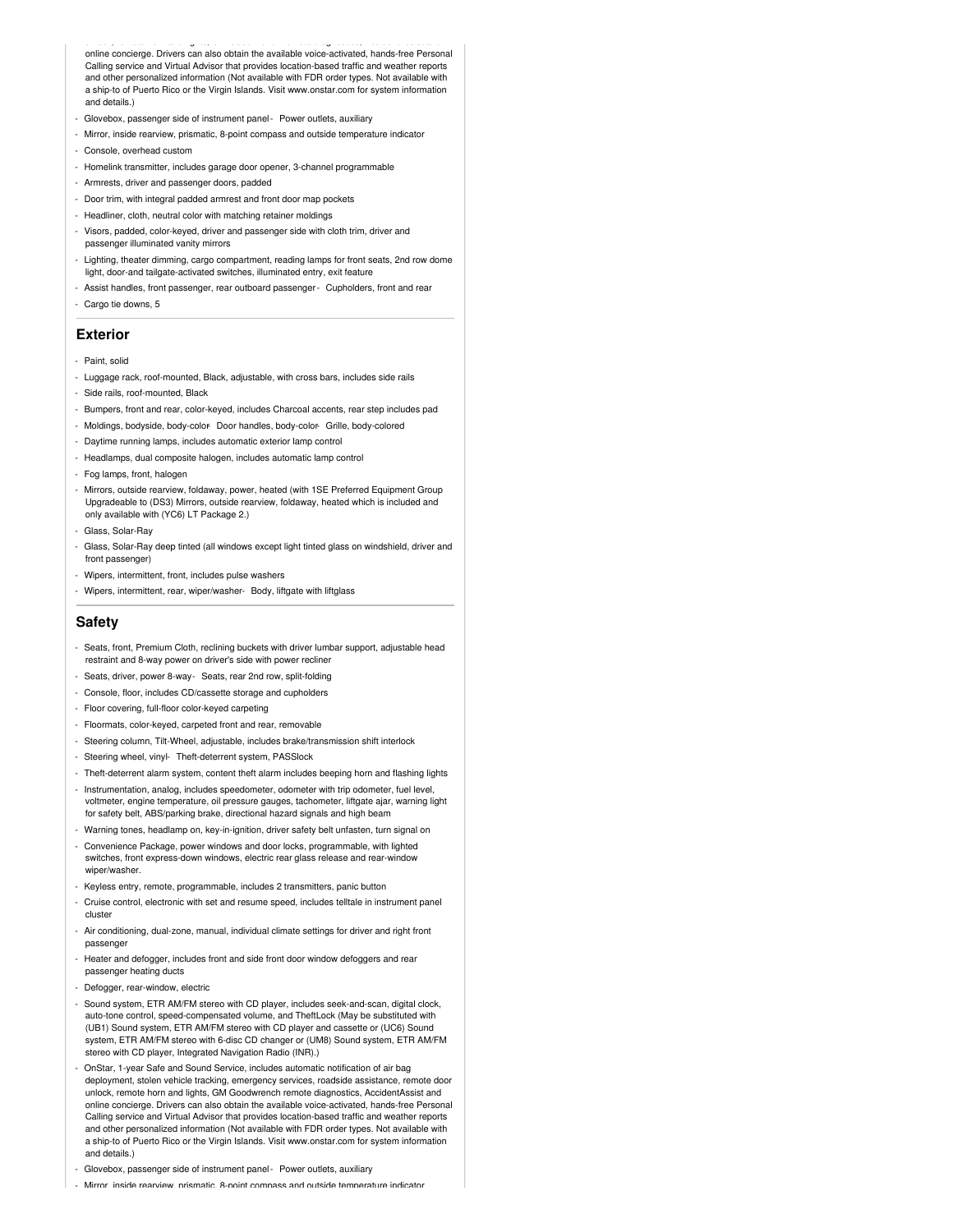unlock, remote horn and lights, GM Goodwrench remote diagnostics, AccidentAssist and online concierge. Drivers can also obtain the available voice-activated, hands-free Personal Calling service and Virtual Advisor that provides location-based traffic and weather reports and other personalized information (Not available with FDR order types. Not available with a ship-to of Puerto Rico or the Virgin Islands. Visit www.onstar.com for system information and details.)

- Glovebox, passenger side of instrument panel- Power outlets, auxiliary
- Mirror, inside rearview, prismatic, 8-point compass and outside temperature indicator
- Console, overhead custom
- Homelink transmitter, includes garage door opener, 3-channel programmable
- Armrests, driver and passenger doors, padded
- Door trim, with integral padded armrest and front door map pockets
- Headliner, cloth, neutral color with matching retainer moldings
- Visors, padded, color-keyed, driver and passenger side with cloth trim, driver and passenger illuminated vanity mirrors
- Lighting, theater dimming, cargo compartment, reading lamps for front seats, 2nd row dome light, door-and tailgate-activated switches, illuminated entry, exit feature
- Assist handles, front passenger, rear outboard passenger- Cupholders, front and rear
- Cargo tie downs, 5

#### **Exterior**

- Paint, solid
- Luggage rack, roof-mounted, Black, adjustable, with cross bars, includes side rails
- Side rails, roof-mounted, Black
- Bumpers, front and rear, color-keyed, includes Charcoal accents, rear step includes pad
- Moldings, bodyside, body-color- Door handles, body-color- Grille, body-colored
- Daytime running lamps, includes automatic exterior lamp control
- Headlamps, dual composite halogen, includes automatic lamp control
- Fog lamps, front, halogen
- Mirrors, outside rearview, foldaway, power, heated (with 1SE Preferred Equipment Group Upgradeable to (DS3) Mirrors, outside rearview, foldaway, heated which is included and only available with (YC6) LT Package 2.)
- Glass, Solar-Ray
- Glass, Solar-Ray deep tinted (all windows except light tinted glass on windshield, driver and front passenger)
- Wipers, intermittent, front, includes pulse washers
- Wipers, intermittent, rear, wiper/washer- Body, liftgate with liftglass

#### **Safety**

- Seats, front, Premium Cloth, reclining buckets with driver lumbar support, adjustable head restraint and 8-way power on driver's side with power recliner
- Seats, driver, power 8-way- Seats, rear 2nd row, split-folding
- Console, floor, includes CD/cassette storage and cupholders
- Floor covering, full-floor color-keyed carpeting
- Floormats, color-keyed, carpeted front and rear, removable
- Steering column, Tilt-Wheel, adjustable, includes brake/transmission shift interlock
- Steering wheel, vinyl- Theft-deterrent system, PASSlock
- Theft-deterrent alarm system, content theft alarm includes beeping horn and flashing lights
- Instrumentation, analog, includes speedometer, odometer with trip odometer, fuel level, voltmeter, engine temperature, oil pressure gauges, tachometer, liftgate ajar, warning light for safety belt, ABS/parking brake, directional hazard signals and high beam
- Warning tones, headlamp on, key-in-ignition, driver safety belt unfasten, turn signal on
- Convenience Package, power windows and door locks, programmable, with lighted switches, front express-down windows, electric rear glass release and rear-window wiper/washer
- Keyless entry, remote, programmable, includes 2 transmitters, panic button
- Cruise control, electronic with set and resume speed, includes telltale in instrument panel cluster
- Air conditioning, dual-zone, manual, individual climate settings for driver and right front passenger
- Heater and defogger, includes front and side front door window defoggers and rear passenger heating ducts
- Defogger, rear-window, electric
- Sound system, ETR AM/FM stereo with CD player, includes seek-and-scan, digital clock, auto-tone control, speed-compensated volume, and TheftLock (May be substituted with (UB1) Sound system, ETR AM/FM stereo with CD player and cassette or (UC6) Sound system, ETR AM/FM stereo with 6-disc CD changer or (UM8) Sound system, ETR AM/FM stereo with CD player, Integrated Navigation Radio (INR).)
- OnStar, 1-year Safe and Sound Service, includes automatic notification of air bag deployment, stolen vehicle tracking, emergency services, roadside assistance, remote door unlock, remote horn and lights, GM Goodwrench remote diagnostics, AccidentAssist and online concierge. Drivers can also obtain the available voice-activated, hands-free Personal Calling service and Virtual Advisor that provides location-based traffic and weather reports and other personalized information (Not available with FDR order types. Not available with a ship-to of Puerto Rico or the Virgin Islands. Visit www.onstar.com for system information and details.)
- Glovebox, passenger side of instrument panel- Power outlets, auxiliary
- Mirror, inside rearview, prismatic, 8-point compass and outside temperature indicator